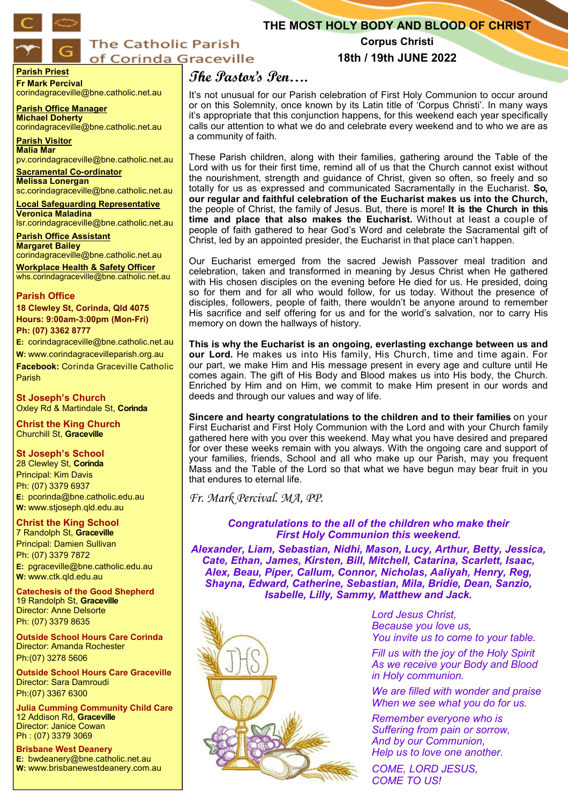

# **The Catholic Parish** of Corinda Graceville

**Parish Priest Fr Mark Percival** corindagraceville@bne.catholic.net.au

**Parish Office Manager Michael Doherty** corindagraceville@bne.catholic.net.au

**Parish Visitor Malia Mar**  pv.corindagraceville@bne.catholic.net.au

**Sacramental Co-ordinator Melissa Lonergan**  sc.corindagraceville@bne.catholic.net.au

**Local Safeguarding Representative Veronica Maladina** lsr.corindagraceville@bne.catholic.net.au

**Parish Office Assistant Margaret Bailey** 

corindagraceville@bne.catholic.net.au **Workplace Health & Safety Officer** whs.corindagraceville@bne.catholic.net.au

### **Parish Office**

**18 Clewley St, Corinda, Qld 4075 Hours: 9:00am-3:00pm (Mon-Fri) Ph: (07) 3362 8777**

**E:** corindagraceville@bne.catholic.net.au **W:** www.corindagracevilleparish.org.au **Facebook:** Corinda Graceville Catholic Parish

**St Joseph's Church** Oxley Rd & Martindale St, **Corinda**

**Christ the King Church** Churchill St, **Graceville**

### **St Joseph's School**

28 Clewley St, **Corinda** Principal: Kim Davis Ph: (07) 3379 6937 **E:** pcorinda@bne.catholic.edu.au **W:** www.stjoseph.qld.edu.au

## **Christ the King School**

7 Randolph St, **Graceville** Principal: Damien Sullivan Ph: (07) 3379 7872 **E:** pgraceville@bne.catholic.edu.au **W:** www.ctk.qld.edu.au

**Catechesis of the Good Shepherd**  19 Randolph St, **Graceville**  Director: Anne Delsorte Ph: (07) 3379 8635

**Outside School Hours Care Corinda**  Director: Amanda Rochester Ph:(07) 3278 5606

**Outside School Hours Care Graceville**  Director: Sara Damroudi Ph:(07) 3367 6300

**Julia Cumming Community Child Care**  12 Addison Rd, **Graceville**  Director: Janice Cowan Ph : (07) 3379 3069

**Brisbane West Deanery E:** bwdeanery@bne.catholic.net.au **W:** www.brisbanewestdeanery.com.au

## **Corpus Christi 18th / 19th JUNE 2022**

**THE MOST HOLY BODY AND BLOOD OF CHRIST**

# **The Pastor's Pen….**

It's not unusual for our Parish celebration of First Holy Communion to occur around or on this Solemnity, once known by its Latin title of 'Corpus Christi'. In many ways it's appropriate that this conjunction happens, for this weekend each year specifically calls our attention to what we do and celebrate every weekend and to who we are as a community of faith.

These Parish children, along with their families, gathering around the Table of the Lord with us for their first time, remind all of us that the Church cannot exist without the nourishment, strength and guidance of Christ, given so often, so freely and so totally for us as expressed and communicated Sacramentally in the Eucharist. **So, our regular and faithful celebration of the Eucharist makes us into the Church,** the people of Christ, the family of Jesus. But, there is more! **It is the Church in this time and place that also makes the Eucharist.** Without at least a couple of people of faith gathered to hear God's Word and celebrate the Sacramental gift of Christ, led by an appointed presider, the Eucharist in that place can't happen.

Our Eucharist emerged from the sacred Jewish Passover meal tradition and celebration, taken and transformed in meaning by Jesus Christ when He gathered with His chosen disciples on the evening before He died for us. He presided, doing so for them and for all who would follow, for us today. Without the presence of disciples, followers, people of faith, there wouldn't be anyone around to remember His sacrifice and self offering for us and for the world's salvation, nor to carry His memory on down the hallways of history.

**This is why the Eucharist is an ongoing, everlasting exchange between us and our Lord.** He makes us into His family, His Church, time and time again. For our part, we make Him and His message present in every age and culture until He comes again. The gift of His Body and Blood makes us into His body, the Church. Enriched by Him and on Him, we commit to make Him present in our words and deeds and through our values and way of life.

**Sincere and hearty congratulations to the children and to their families** on your First Eucharist and First Holy Communion with the Lord and with your Church family gathered here with you over this weekend. May what you have desired and prepared for over these weeks remain with you always. With the ongoing care and support of your families, friends, School and all who make up our Parish, may you frequent Mass and the Table of the Lord so that what we have begun may bear fruit in you that endures to eternal life.

*Fr. Mark Percival. MA, PP.* 

*Congratulations to the all of the children who make their First Holy Communion this weekend.*

*Alexander, Liam, Sebastian, Nidhi, Mason, Lucy, Arthur, Betty, Jessica, Cate, Ethan, James, Kirsten, Bill, Mitchell, Catarina, Scarlett, Isaac, Alex, Beau, Piper, Callum, Connor, Nicholas, Aaliyah, Henry, Reg, Shayna, Edward, Catherine, Sebastian, Mila, Bridie, Dean, Sanzio, Isabelle, Lilly, Sammy, Matthew and Jack.* 



*Lord Jesus Christ, Because you love us, You invite us to come to your table.*

*Fill us with the joy of the Holy Spirit As we receive your Body and Blood in Holy communion.*

*We are filled with wonder and praise When we see what you do for us.*

*Remember everyone who is Suffering from pain or sorrow, And by our Communion, Help us to love one another.*

*COME, LORD JESUS, COME TO US!*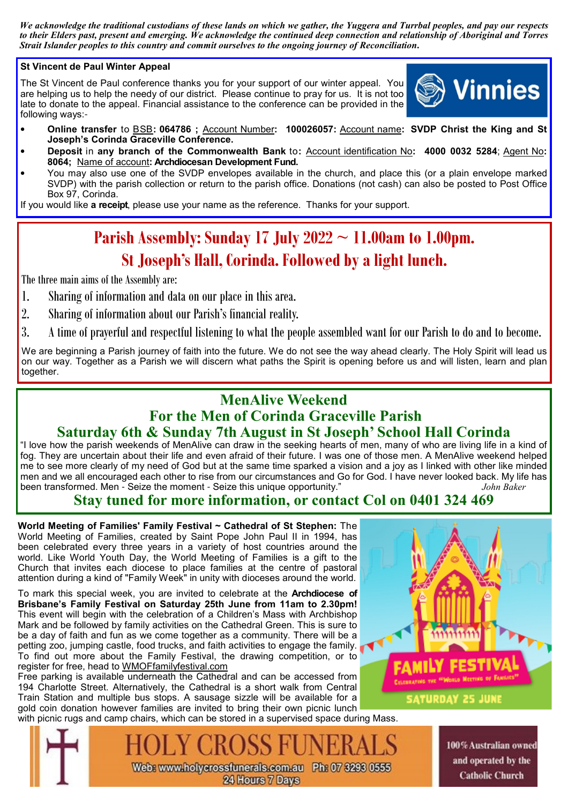*We acknowledge the traditional custodians of these lands on which we gather, the Yuggera and Turrbal peoples, and pay our respects to their Elders past, present and emerging. We acknowledge the continued deep connection and relationship of Aboriginal and Torres Strait Islander peoples to this country and commit ourselves to the ongoing journey of Reconciliation***.**

## **St Vincent de Paul Winter Appeal**

The St Vincent de Paul conference thanks you for your support of our winter appeal. You are helping us to help the needy of our district. Please continue to pray for us. It is not too late to donate to the appeal. Financial assistance to the conference can be provided in the following ways:-



- **Online transfer** to BSB**: 064786 ;** Account Number**: 100026057:** Account name**: SVDP Christ the King and St Joseph's Corinda Graceville Conference.**
- **Deposit** in **any branch of the Commonwealth Bank** to**:** Account identification No**: 4000 0032 5284**; Agent No**: 8064;** Name of account**: Archdiocesan Development Fund.**
- You may also use one of the SVDP envelopes available in the church, and place this (or a plain envelope marked SVDP) with the parish collection or return to the parish office. Donations (not cash) can also be posted to Post Office Box 97, Corinda.

If you would like **a receipt**, please use your name as the reference. Thanks for your support.

# **Parish Assembly: Sunday 17 July 2022 ~ 11.00am to 1.00pm. St Joseph's Hall, Corinda. Followed by a light lunch.**

The three main aims of the Assembly are:

- 1. Sharing of information and data on our place in this area.
- 2. Sharing of information about our Parish's financial reality.
- 3. A time of prayerful and respectful listening to what the people assembled want for our Parish to do and to become.

We are beginning a Parish journey of faith into the future. We do not see the way ahead clearly. The Holy Spirit will lead us on our way. Together as a Parish we will discern what paths the Spirit is opening before us and will listen, learn and plan together.

# **MenAlive Weekend For the Men of Corinda Graceville Parish Saturday 6th & Sunday 7th August in St Joseph' School Hall Corinda**

"I love how the parish weekends of MenAlive can draw in the seeking hearts of men, many of who are living life in a kind of fog. They are uncertain about their life and even afraid of their future. I was one of those men. A MenAlive weekend helped me to see more clearly of my need of God but at the same time sparked a vision and a joy as I linked with other like minded men and we all encouraged each other to rise from our circumstances and Go for God. I have never looked back. My life has been transformed. Men - Seize the moment - Seize this unique opportunity." *John Baker*

## **Stay tuned for more information, or contact Col on 0401 324 469**

**World Meeting of Families' Family Festival ~ Cathedral of St Stephen:** The World Meeting of Families, created by Saint Pope John Paul II in 1994, has been celebrated every three years in a variety of host countries around the world. Like World Youth Day, the World Meeting of Families is a gift to the Church that invites each diocese to place families at the centre of pastoral attention during a kind of "Family Week" in unity with dioceses around the world.

To mark this special week, you are invited to celebrate at the **Archdiocese of Brisbane's Family Festival on Saturday 25th June from 11am to 2.30pm!**  This event will begin with the celebration of a Children's Mass with Archbishop Mark and be followed by family activities on the Cathedral Green. This is sure to be a day of faith and fun as we come together as a community. There will be a petting zoo, jumping castle, food trucks, and faith activities to engage the family. To find out more about the Family Festival, the drawing competition, or to register for free, head to WMOFfamilyfestival.com

Free parking is available underneath the Cathedral and can be accessed from 194 Charlotte Street. Alternatively, the Cathedral is a short walk from Central Train Station and multiple bus stops. A sausage sizzle will be available for a gold coin donation however families are invited to bring their own picnic lunch





100% Australian owned and operated by the **Catholic Church** 

Web: www.holycrossfunerals.com.au Ph: 07 3293 0555 24 Hours 7 Days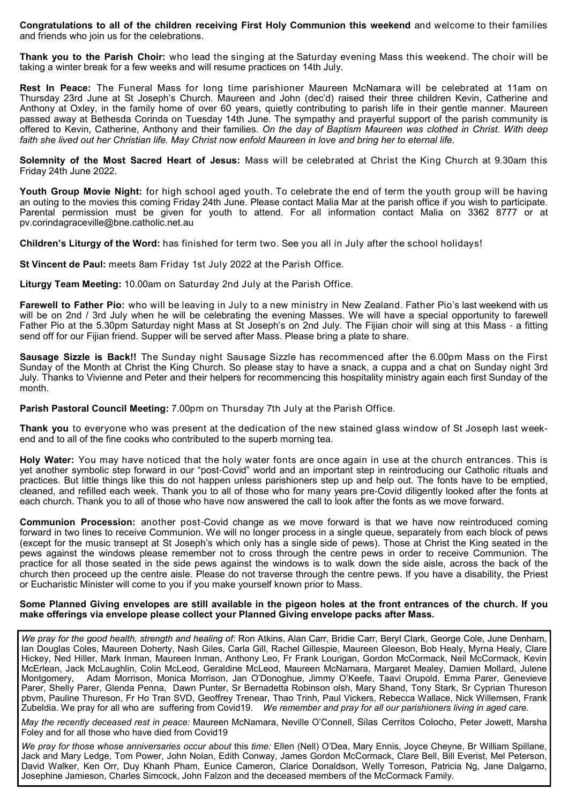**Congratulations to all of the children receiving First Holy Communion this weekend** and welcome to their families and friends who join us for the celebrations.

**Thank you to the Parish Choir:** who lead the singing at the Saturday evening Mass this weekend. The choir will be taking a winter break for a few weeks and will resume practices on 14th July.

**Rest In Peace:** The Funeral Mass for long time parishioner Maureen McNamara will be celebrated at 11am on Thursday 23rd June at St Joseph's Church. Maureen and John (dec'd) raised their three children Kevin, Catherine and Anthony at Oxley, in the family home of over 60 years, quietly contributing to parish life in their gentle manner. Maureen passed away at Bethesda Corinda on Tuesday 14th June. The sympathy and prayerful support of the parish community is offered to Kevin, Catherine, Anthony and their families. *On the day of Baptism Maureen was clothed in Christ. With deep faith she lived out her Christian life. May Christ now enfold Maureen in love and bring her to eternal life.*

**Solemnity of the Most Sacred Heart of Jesus:** Mass will be celebrated at Christ the King Church at 9.30am this Friday 24th June 2022.

**Youth Group Movie Night:** for high school aged youth. To celebrate the end of term the youth group will be having an outing to the movies this coming Friday 24th June. Please contact Malia Mar at the parish office if you wish to participate. Parental permission must be given for youth to attend. For all information contact Malia on 3362 8777 or at pv.corindagraceville@bne.catholic.net.au

**Children's Liturgy of the Word:** has finished for term two. See you all in July after the school holidays!

**St Vincent de Paul:** meets 8am Friday 1st July 2022 at the Parish Office.

**Liturgy Team Meeting:** 10.00am on Saturday 2nd July at the Parish Office.

**Farewell to Father Pio:** who will be leaving in July to a new ministry in New Zealand. Father Pio's last weekend with us will be on 2nd / 3rd July when he will be celebrating the evening Masses. We will have a special opportunity to farewell Father Pio at the 5.30pm Saturday night Mass at St Joseph's on 2nd July. The Fijian choir will sing at this Mass - a fitting send off for our Fijian friend. Supper will be served after Mass. Please bring a plate to share.

**Sausage Sizzle is Back!!** The Sunday night Sausage Sizzle has recommenced after the 6.00pm Mass on the First Sunday of the Month at Christ the King Church. So please stay to have a snack, a cuppa and a chat on Sunday night 3rd July. Thanks to Vivienne and Peter and their helpers for recommencing this hospitality ministry again each first Sunday of the month.

**Parish Pastoral Council Meeting:** 7.00pm on Thursday 7th July at the Parish Office.

**Thank you** to everyone who was present at the dedication of the new stained glass window of St Joseph last weekend and to all of the fine cooks who contributed to the superb morning tea.

**Holy Water:** You may have noticed that the holy water fonts are once again in use at the church entrances. This is yet another symbolic step forward in our "post-Covid" world and an important step in reintroducing our Catholic rituals and practices. But little things like this do not happen unless parishioners step up and help out. The fonts have to be emptied, cleaned, and refilled each week. Thank you to all of those who for many years pre-Covid diligently looked after the fonts at each church. Thank you to all of those who have now answered the call to look after the fonts as we move forward.

**Communion Procession:** another post-Covid change as we move forward is that we have now reintroduced coming forward in two lines to receive Communion. We will no longer process in a single queue, separately from each block of pews (except for the music transept at St Joseph's which only has a single side of pews). Those at Christ the King seated in the pews against the windows please remember not to cross through the centre pews in order to receive Communion. The practice for all those seated in the side pews against the windows is to walk down the side aisle, across the back of the church then proceed up the centre aisle. Please do not traverse through the centre pews. If you have a disability, the Priest or Eucharistic Minister will come to you if you make yourself known prior to Mass.

### **Some Planned Giving envelopes are still available in the pigeon holes at the front entrances of the church. If you make offerings via envelope please collect your Planned Giving envelope packs after Mass.**

*We pray for the good health, strength and healing of:* Ron Atkins, Alan Carr, Bridie Carr, Beryl Clark, George Cole, June Denham, Ian Douglas Coles, Maureen Doherty, Nash Giles, Carla Gill, Rachel Gillespie, Maureen Gleeson, Bob Healy, Myrna Healy, Clare Hickey, Ned Hiller, Mark Inman, Maureen Inman, Anthony Leo, Fr Frank Lourigan, Gordon McCormack, Neil McCormack, Kevin McErlean, Jack McLaughlin, Colin McLeod, Geraldine McLeod, Maureen McNamara, Margaret Mealey, Damien Mollard, Julene Montgomery, Adam Morrison, Monica Morrison, Jan O'Donoghue, Jimmy O'Keefe, Taavi Orupold, Emma Parer, Genevieve Parer, Shelly Parer, Glenda Penna, Dawn Punter, Sr Bernadetta Robinson olsh, Mary Shand, Tony Stark, Sr Cyprian Thureson pbvm, Pauline Thureson, Fr Ho Tran SVD, Geoffrey Trenear, Thao Trinh, Paul Vickers, Rebecca Wallace, Nick Willemsen, Frank Zubeldia. We pray for all who are suffering from Covid19. *We remember and pray for all our parishioners living in aged care.* 

*May the recently deceased rest in peace:* Maureen McNamara, Neville O'Connell, Silas Cerritos Colocho, Peter Jowett, Marsha Foley and for all those who have died from Covid19

*We pray for those whose anniversaries occur about* this *time:* Ellen (Nell) O'Dea, Mary Ennis, Joyce Cheyne, Br William Spillane, Jack and Mary Ledge, Tom Power, John Nolan, Edith Conway, James Gordon McCormack, Clare Bell, Bill Everist, Mel Peterson, David Walker, Ken Orr, Duy Khanh Pham, Eunice Cameron, Clarice Donaldson, Welly Torreson, Patricia Ng, Jane Dalgarno, Josephine Jamieson, Charles Simcock, John Falzon and the deceased members of the McCormack Family.